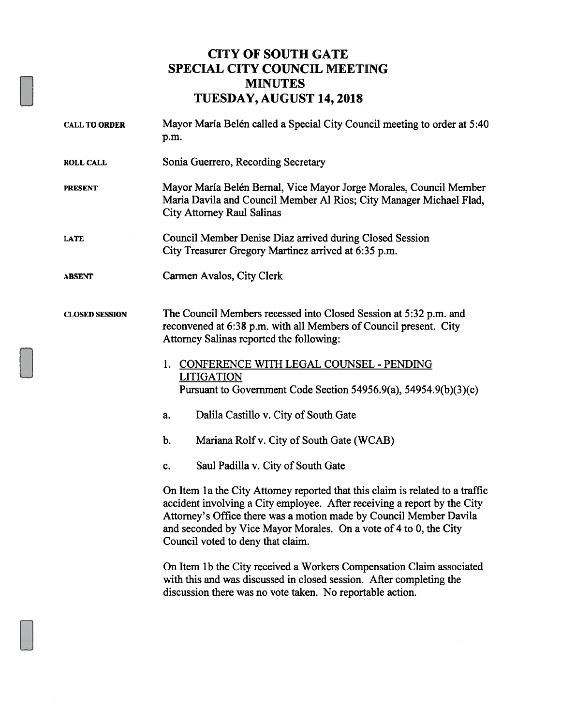## CITY OF SOUTH GATE SPECIAL CITY COUNCIL MEETING MINUTES TUESDAY, AUGUST 14, 2018

| <b>CALL TO ORDER</b>  | Mayor María Belén called a Special City Council meeting to order at 5:40<br>p.m.                                                                                                                                                                                                                                                          |  |
|-----------------------|-------------------------------------------------------------------------------------------------------------------------------------------------------------------------------------------------------------------------------------------------------------------------------------------------------------------------------------------|--|
| <b>ROLL CALL</b>      | Sonia Guerrero, Recording Secretary                                                                                                                                                                                                                                                                                                       |  |
| <b>PRESENT</b>        | Mayor María Belén Bernal, Vice Mayor Jorge Morales, Council Member<br>Maria Davila and Council Member Al Rios; City Manager Michael Flad,<br><b>City Attorney Raul Salinas</b>                                                                                                                                                            |  |
| <b>LATE</b>           | Council Member Denise Diaz arrived during Closed Session<br>City Treasurer Gregory Martinez arrived at 6:35 p.m.                                                                                                                                                                                                                          |  |
| <b>ABSENT</b>         | Carmen Avalos, City Clerk                                                                                                                                                                                                                                                                                                                 |  |
| <b>CLOSED SESSION</b> | The Council Members recessed into Closed Session at 5:32 p.m. and<br>reconvened at 6:38 p.m. with all Members of Council present. City<br>Attorney Salinas reported the following:                                                                                                                                                        |  |
|                       | 1. CONFERENCE WITH LEGAL COUNSEL - PENDING<br><b>LITIGATION</b><br>Pursuant to Government Code Section 54956.9(a), 54954.9(b)(3)(c)                                                                                                                                                                                                       |  |
|                       | Dalila Castillo v. City of South Gate<br>a.                                                                                                                                                                                                                                                                                               |  |
|                       | b.<br>Mariana Rolf v. City of South Gate (WCAB)                                                                                                                                                                                                                                                                                           |  |
|                       | Saul Padilla v. City of South Gate<br>c.                                                                                                                                                                                                                                                                                                  |  |
|                       | On Item 1a the City Attorney reported that this claim is related to a traffic<br>accident involving a City employee. After receiving a report by the City<br>Attorney's Office there was a motion made by Council Member Davila<br>and seconded by Vice Mayor Morales. On a vote of 4 to 0, the City<br>Council voted to deny that claim. |  |
|                       | On Item 1b the City received a Workers Compensation Claim associated<br>with this and was discussed in closed session. After completing the<br>discussion there was no vote taken. No reportable action.                                                                                                                                  |  |